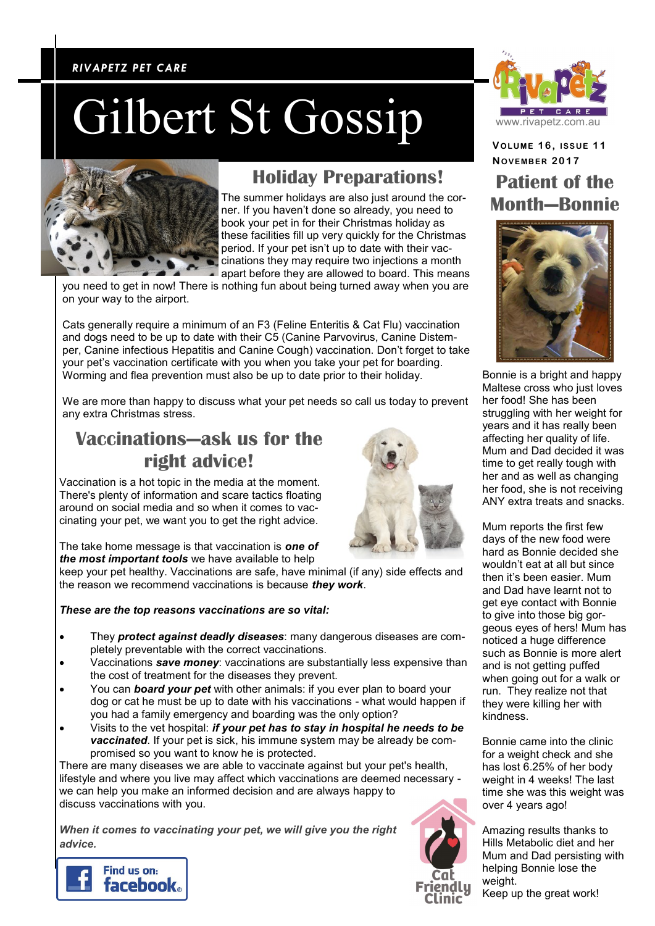### *RIVAPETZ PET CARE RIVAPETZ PET CARE*

## Gilbert St Gossip



### **Holiday Preparations!**

The summer holidays are also just around the corner. If you haven't done so already, you need to book your pet in for their Christmas holiday as these facilities fill up very quickly for the Christmas period. If your pet isn't up to date with their vaccinations they may require two injections a month apart before they are allowed to board. This means

you need to get in now! There is nothing fun about being turned away when you are on your way to the airport.

Cats generally require a minimum of an F3 (Feline Enteritis & Cat Flu) vaccination and dogs need to be up to date with their C5 (Canine Parvovirus, Canine Distemper, Canine infectious Hepatitis and Canine Cough) vaccination. Don't forget to take your pet's vaccination certificate with you when you take your pet for boarding. Worming and flea prevention must also be up to date prior to their holiday.

We are more than happy to discuss what your pet needs so call us today to prevent any extra Christmas stress.

### **Vaccinations—ask us for the right advice!**

Vaccination is a hot topic in the media at the moment. There's plenty of information and scare tactics floating around on social media and so when it comes to vaccinating your pet, we want you to get the right advice.

The take home message is that vaccination is *one of the most important tools* we have available to help

keep your pet healthy. Vaccinations are safe, have minimal (if any) side effects and the reason we recommend vaccinations is because *they work*.

### *These are the top reasons vaccinations are so vital:*

- They *protect against deadly diseases*: many dangerous diseases are completely preventable with the correct vaccinations.
- Vaccinations *save money*: vaccinations are substantially less expensive than the cost of treatment for the diseases they prevent.
- You can *board your pet* with other animals: if you ever plan to board your dog or cat he must be up to date with his vaccinations - what would happen if you had a family emergency and boarding was the only option?
- Visits to the vet hospital: *if your pet has to stay in hospital he needs to be vaccinated*. If your pet is sick, his immune system may be already be compromised so you want to know he is protected.

There are many diseases we are able to vaccinate against but your pet's health, lifestyle and where you live may affect which vaccinations are deemed necessary we can help you make an informed decision and are always happy to discuss vaccinations with you.

*When it comes to vaccinating your pet, we will give you the right advice.*







**VOLUME 1 6 , ISSUE 1 1 NOVEMB ER 2017 Patient of the Month—Bonnie**



Bonnie is a bright and happy Maltese cross who just loves her food! She has been struggling with her weight for years and it has really been affecting her quality of life. Mum and Dad decided it was time to get really tough with her and as well as changing her food, she is not receiving ANY extra treats and snacks.

Mum reports the first few days of the new food were hard as Bonnie decided she wouldn't eat at all but since then it's been easier. Mum and Dad have learnt not to get eye contact with Bonnie to give into those big gorgeous eyes of hers! Mum has noticed a huge difference such as Bonnie is more alert and is not getting puffed when going out for a walk or run. They realize not that they were killing her with kindness.

Bonnie came into the clinic for a weight check and she has lost 6.25% of her body weight in 4 weeks! The last time she was this weight was over 4 years ago!

Amazing results thanks to Hills Metabolic diet and her Mum and Dad persisting with helping Bonnie lose the weight.

Keep up the great work!